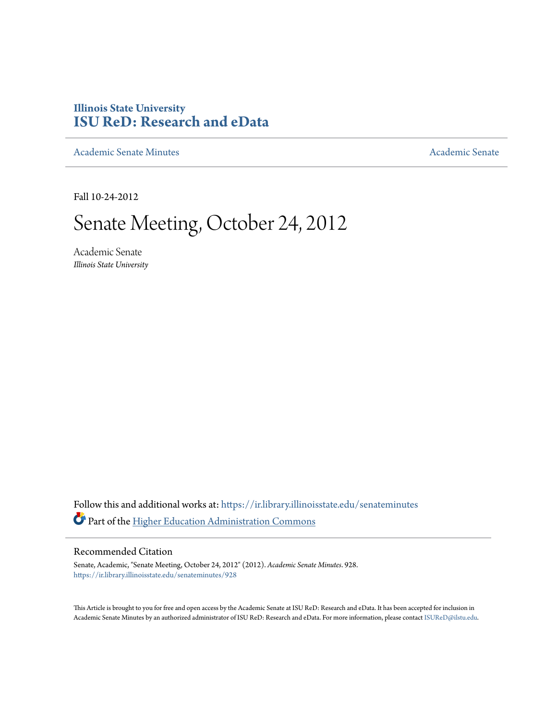# **Illinois State University [ISU ReD: Research and eData](https://ir.library.illinoisstate.edu?utm_source=ir.library.illinoisstate.edu%2Fsenateminutes%2F928&utm_medium=PDF&utm_campaign=PDFCoverPages)**

[Academic Senate Minutes](https://ir.library.illinoisstate.edu/senateminutes?utm_source=ir.library.illinoisstate.edu%2Fsenateminutes%2F928&utm_medium=PDF&utm_campaign=PDFCoverPages) [Academic Senate](https://ir.library.illinoisstate.edu/senate?utm_source=ir.library.illinoisstate.edu%2Fsenateminutes%2F928&utm_medium=PDF&utm_campaign=PDFCoverPages) Academic Senate

Fall 10-24-2012

# Senate Meeting, October 24, 2012

Academic Senate *Illinois State University*

Follow this and additional works at: [https://ir.library.illinoisstate.edu/senateminutes](https://ir.library.illinoisstate.edu/senateminutes?utm_source=ir.library.illinoisstate.edu%2Fsenateminutes%2F928&utm_medium=PDF&utm_campaign=PDFCoverPages) Part of the [Higher Education Administration Commons](http://network.bepress.com/hgg/discipline/791?utm_source=ir.library.illinoisstate.edu%2Fsenateminutes%2F928&utm_medium=PDF&utm_campaign=PDFCoverPages)

#### Recommended Citation

Senate, Academic, "Senate Meeting, October 24, 2012" (2012). *Academic Senate Minutes*. 928. [https://ir.library.illinoisstate.edu/senateminutes/928](https://ir.library.illinoisstate.edu/senateminutes/928?utm_source=ir.library.illinoisstate.edu%2Fsenateminutes%2F928&utm_medium=PDF&utm_campaign=PDFCoverPages)

This Article is brought to you for free and open access by the Academic Senate at ISU ReD: Research and eData. It has been accepted for inclusion in Academic Senate Minutes by an authorized administrator of ISU ReD: Research and eData. For more information, please contact [ISUReD@ilstu.edu.](mailto:ISUReD@ilstu.edu)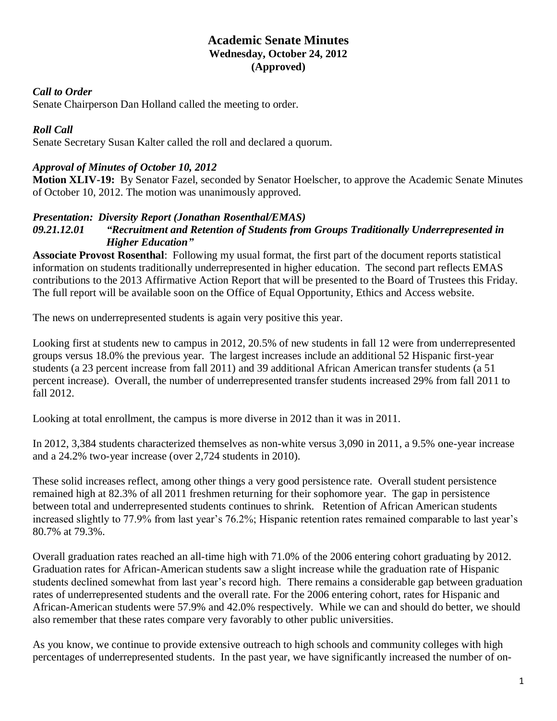### **Academic Senate Minutes Wednesday, October 24, 2012 (Approved)**

#### *Call to Order*

Senate Chairperson Dan Holland called the meeting to order.

### *Roll Call*

Senate Secretary Susan Kalter called the roll and declared a quorum.

### *Approval of Minutes of October 10, 2012*

**Motion XLIV-19:** By Senator Fazel, seconded by Senator Hoelscher, to approve the Academic Senate Minutes of October 10, 2012. The motion was unanimously approved.

### *Presentation: Diversity Report (Jonathan Rosenthal/EMAS)*

#### *09.21.12.01 "Recruitment and Retention of Students from Groups Traditionally Underrepresented in Higher Education"*

**Associate Provost Rosenthal**: Following my usual format, the first part of the document reports statistical information on students traditionally underrepresented in higher education. The second part reflects EMAS contributions to the 2013 Affirmative Action Report that will be presented to the Board of Trustees this Friday. The full report will be available soon on the Office of Equal Opportunity, Ethics and Access website.

The news on underrepresented students is again very positive this year.

Looking first at students new to campus in 2012, 20.5% of new students in fall 12 were from underrepresented groups versus 18.0% the previous year. The largest increases include an additional 52 Hispanic first-year students (a 23 percent increase from fall 2011) and 39 additional African American transfer students (a 51 percent increase). Overall, the number of underrepresented transfer students increased 29% from fall 2011 to fall 2012.

Looking at total enrollment, the campus is more diverse in 2012 than it was in 2011.

In 2012, 3,384 students characterized themselves as non-white versus 3,090 in 2011, a 9.5% one-year increase and a 24.2% two-year increase (over 2,724 students in 2010).

These solid increases reflect, among other things a very good persistence rate. Overall student persistence remained high at 82.3% of all 2011 freshmen returning for their sophomore year. The gap in persistence between total and underrepresented students continues to shrink. Retention of African American students increased slightly to 77.9% from last year's 76.2%; Hispanic retention rates remained comparable to last year's 80.7% at 79.3%.

Overall graduation rates reached an all-time high with 71.0% of the 2006 entering cohort graduating by 2012. Graduation rates for African-American students saw a slight increase while the graduation rate of Hispanic students declined somewhat from last year's record high. There remains a considerable gap between graduation rates of underrepresented students and the overall rate. For the 2006 entering cohort, rates for Hispanic and African-American students were 57.9% and 42.0% respectively. While we can and should do better, we should also remember that these rates compare very favorably to other public universities.

As you know, we continue to provide extensive outreach to high schools and community colleges with high percentages of underrepresented students. In the past year, we have significantly increased the number of on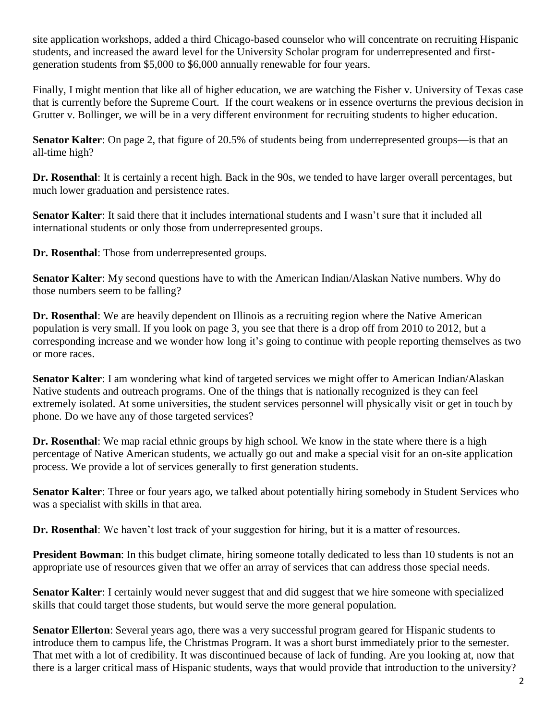site application workshops, added a third Chicago-based counselor who will concentrate on recruiting Hispanic students, and increased the award level for the University Scholar program for underrepresented and firstgeneration students from \$5,000 to \$6,000 annually renewable for four years.

Finally, I might mention that like all of higher education, we are watching the Fisher v. University of Texas case that is currently before the Supreme Court. If the court weakens or in essence overturns the previous decision in Grutter v. Bollinger, we will be in a very different environment for recruiting students to higher education.

**Senator Kalter**: On page 2, that figure of 20.5% of students being from underrepresented groups—is that an all-time high?

**Dr. Rosenthal**: It is certainly a recent high. Back in the 90s, we tended to have larger overall percentages, but much lower graduation and persistence rates.

**Senator Kalter**: It said there that it includes international students and I wasn't sure that it included all international students or only those from underrepresented groups.

**Dr. Rosenthal**: Those from underrepresented groups.

**Senator Kalter**: My second questions have to with the American Indian/Alaskan Native numbers. Why do those numbers seem to be falling?

**Dr. Rosenthal**: We are heavily dependent on Illinois as a recruiting region where the Native American population is very small. If you look on page 3, you see that there is a drop off from 2010 to 2012, but a corresponding increase and we wonder how long it's going to continue with people reporting themselves as two or more races.

**Senator Kalter**: I am wondering what kind of targeted services we might offer to American Indian/Alaskan Native students and outreach programs. One of the things that is nationally recognized is they can feel extremely isolated. At some universities, the student services personnel will physically visit or get in touch by phone. Do we have any of those targeted services?

**Dr. Rosenthal**: We map racial ethnic groups by high school. We know in the state where there is a high percentage of Native American students, we actually go out and make a special visit for an on-site application process. We provide a lot of services generally to first generation students.

**Senator Kalter**: Three or four years ago, we talked about potentially hiring somebody in Student Services who was a specialist with skills in that area.

**Dr. Rosenthal**: We haven't lost track of your suggestion for hiring, but it is a matter of resources.

**President Bowman**: In this budget climate, hiring someone totally dedicated to less than 10 students is not an appropriate use of resources given that we offer an array of services that can address those special needs.

**Senator Kalter**: I certainly would never suggest that and did suggest that we hire someone with specialized skills that could target those students, but would serve the more general population.

**Senator Ellerton**: Several years ago, there was a very successful program geared for Hispanic students to introduce them to campus life, the Christmas Program. It was a short burst immediately prior to the semester. That met with a lot of credibility. It was discontinued because of lack of funding. Are you looking at, now that there is a larger critical mass of Hispanic students, ways that would provide that introduction to the university?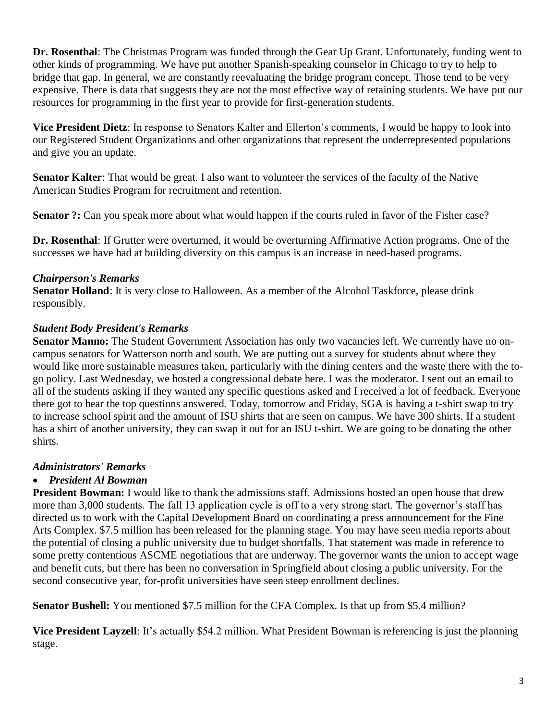**Dr. Rosenthal**: The Christmas Program was funded through the Gear Up Grant. Unfortunately, funding went to other kinds of programming. We have put another Spanish-speaking counselor in Chicago to try to help to bridge that gap. In general, we are constantly reevaluating the bridge program concept. Those tend to be very expensive. There is data that suggests they are not the most effective way of retaining students. We have put our resources for programming in the first year to provide for first-generation students.

**Vice President Dietz**: In response to Senators Kalter and Ellerton's comments, I would be happy to look into our Registered Student Organizations and other organizations that represent the underrepresented populations and give you an update.

**Senator Kalter**: That would be great. I also want to volunteer the services of the faculty of the Native American Studies Program for recruitment and retention.

**Senator ?:** Can you speak more about what would happen if the courts ruled in favor of the Fisher case?

**Dr. Rosenthal**: If Grutter were overturned, it would be overturning Affirmative Action programs. One of the successes we have had at building diversity on this campus is an increase in need-based programs.

# *Chairperson's Remarks*

**Senator Holland**: It is very close to Halloween. As a member of the Alcohol Taskforce, please drink responsibly.

### *Student Body President's Remarks*

**Senator Manno:** The Student Government Association has only two vacancies left. We currently have no oncampus senators for Watterson north and south. We are putting out a survey for students about where they would like more sustainable measures taken, particularly with the dining centers and the waste there with the togo policy. Last Wednesday, we hosted a congressional debate here. I was the moderator. I sent out an email to all of the students asking if they wanted any specific questions asked and I received a lot of feedback. Everyone there got to hear the top questions answered. Today, tomorrow and Friday, SGA is having a t-shirt swap to try to increase school spirit and the amount of ISU shirts that are seen on campus. We have 300 shirts. If a student has a shirt of another university, they can swap it out for an ISU t-shirt. We are going to be donating the other shirts.

# *Administrators' Remarks*

# • *President Al Bowman*

**President Bowman:** I would like to thank the admissions staff. Admissions hosted an open house that drew more than 3,000 students. The fall 13 application cycle is off to a very strong start. The governor's staff has directed us to work with the Capital Development Board on coordinating a press announcement for the Fine Arts Complex. \$7.5 million has been released for the planning stage. You may have seen media reports about the potential of closing a public university due to budget shortfalls. That statement was made in reference to some pretty contentious ASCME negotiations that are underway. The governor wants the union to accept wage and benefit cuts, but there has been no conversation in Springfield about closing a public university. For the second consecutive year, for-profit universities have seen steep enrollment declines.

**Senator Bushell:** You mentioned \$7.5 million for the CFA Complex. Is that up from \$5.4 million?

**Vice President Layzell**: It's actually \$54.2 million. What President Bowman is referencing is just the planning stage.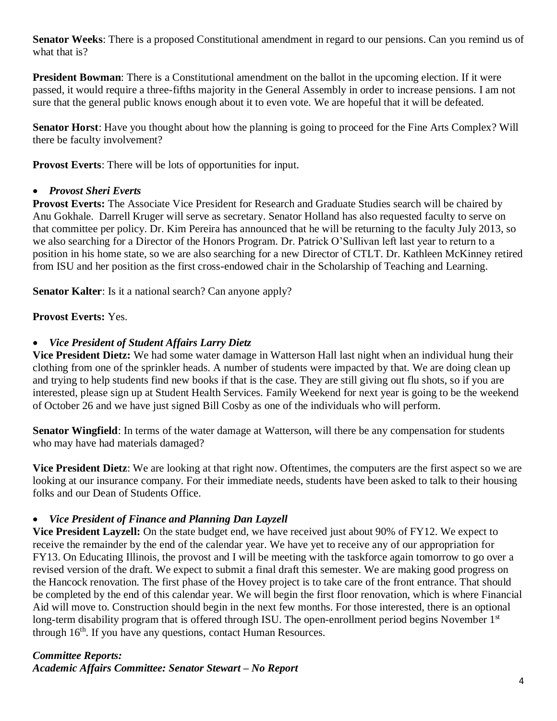**Senator Weeks**: There is a proposed Constitutional amendment in regard to our pensions. Can you remind us of what that is?

**President Bowman**: There is a Constitutional amendment on the ballot in the upcoming election. If it were passed, it would require a three-fifths majority in the General Assembly in order to increase pensions. I am not sure that the general public knows enough about it to even vote. We are hopeful that it will be defeated.

**Senator Horst**: Have you thought about how the planning is going to proceed for the Fine Arts Complex? Will there be faculty involvement?

**Provost Everts**: There will be lots of opportunities for input.

### • *Provost Sheri Everts*

**Provost Everts:** The Associate Vice President for Research and Graduate Studies search will be chaired by Anu Gokhale. Darrell Kruger will serve as secretary. Senator Holland has also requested faculty to serve on that committee per policy. Dr. Kim Pereira has announced that he will be returning to the faculty July 2013, so we also searching for a Director of the Honors Program. Dr. Patrick O'Sullivan left last year to return to a position in his home state, so we are also searching for a new Director of CTLT. Dr. Kathleen McKinney retired from ISU and her position as the first cross-endowed chair in the Scholarship of Teaching and Learning.

**Senator Kalter**: Is it a national search? Can anyone apply?

# **Provost Everts:** Yes.

# • *Vice President of Student Affairs Larry Dietz*

**Vice President Dietz:** We had some water damage in Watterson Hall last night when an individual hung their clothing from one of the sprinkler heads. A number of students were impacted by that. We are doing clean up and trying to help students find new books if that is the case. They are still giving out flu shots, so if you are interested, please sign up at Student Health Services. Family Weekend for next year is going to be the weekend of October 26 and we have just signed Bill Cosby as one of the individuals who will perform.

**Senator Wingfield**: In terms of the water damage at Watterson, will there be any compensation for students who may have had materials damaged?

**Vice President Dietz**: We are looking at that right now. Oftentimes, the computers are the first aspect so we are looking at our insurance company. For their immediate needs, students have been asked to talk to their housing folks and our Dean of Students Office.

#### • *Vice President of Finance and Planning Dan Layzell*

**Vice President Layzell:** On the state budget end, we have received just about 90% of FY12. We expect to receive the remainder by the end of the calendar year. We have yet to receive any of our appropriation for FY13. On Educating Illinois, the provost and I will be meeting with the taskforce again tomorrow to go over a revised version of the draft. We expect to submit a final draft this semester. We are making good progress on the Hancock renovation. The first phase of the Hovey project is to take care of the front entrance. That should be completed by the end of this calendar year. We will begin the first floor renovation, which is where Financial Aid will move to. Construction should begin in the next few months. For those interested, there is an optional long-term disability program that is offered through ISU. The open-enrollment period begins November 1<sup>st</sup> through  $16<sup>th</sup>$ . If you have any questions, contact Human Resources.

# *Committee Reports:*

*Academic Affairs Committee: Senator Stewart – No Report*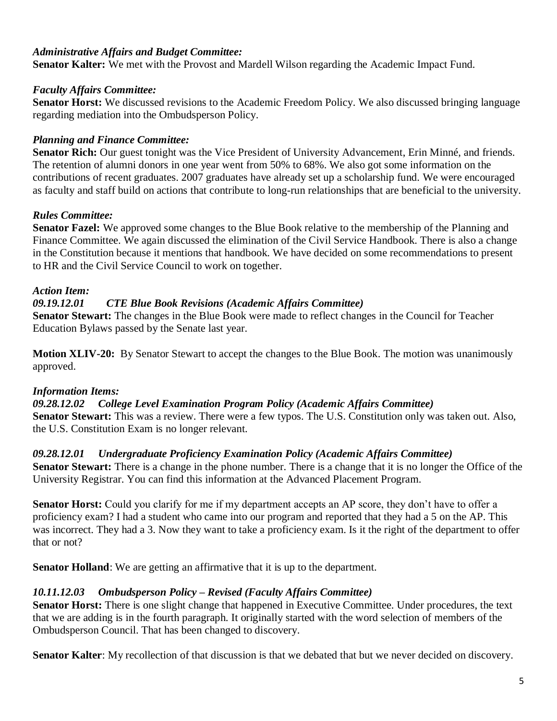#### *Administrative Affairs and Budget Committee:*

**Senator Kalter:** We met with the Provost and Mardell Wilson regarding the Academic Impact Fund.

#### *Faculty Affairs Committee:*

**Senator Horst:** We discussed revisions to the Academic Freedom Policy. We also discussed bringing language regarding mediation into the Ombudsperson Policy.

# *Planning and Finance Committee:*

**Senator Rich:** Our guest tonight was the Vice President of University Advancement, Erin Minné, and friends. The retention of alumni donors in one year went from 50% to 68%. We also got some information on the contributions of recent graduates. 2007 graduates have already set up a scholarship fund. We were encouraged as faculty and staff build on actions that contribute to long-run relationships that are beneficial to the university.

### *Rules Committee:*

**Senator Fazel:** We approved some changes to the Blue Book relative to the membership of the Planning and Finance Committee. We again discussed the elimination of the Civil Service Handbook. There is also a change in the Constitution because it mentions that handbook. We have decided on some recommendations to present to HR and the Civil Service Council to work on together.

### *Action Item:*

### *09.19.12.01 CTE Blue Book Revisions (Academic Affairs Committee)*

**Senator Stewart:** The changes in the Blue Book were made to reflect changes in the Council for Teacher Education Bylaws passed by the Senate last year.

**Motion XLIV-20:** By Senator Stewart to accept the changes to the Blue Book. The motion was unanimously approved.

#### *Information Items:*

*09.28.12.02 College Level Examination Program Policy (Academic Affairs Committee)* **Senator Stewart:** This was a review. There were a few typos. The U.S. Constitution only was taken out. Also, the U.S. Constitution Exam is no longer relevant.

#### *09.28.12.01 Undergraduate Proficiency Examination Policy (Academic Affairs Committee)*

**Senator Stewart:** There is a change in the phone number. There is a change that it is no longer the Office of the University Registrar. You can find this information at the Advanced Placement Program.

**Senator Horst:** Could you clarify for me if my department accepts an AP score, they don't have to offer a proficiency exam? I had a student who came into our program and reported that they had a 5 on the AP. This was incorrect. They had a 3. Now they want to take a proficiency exam. Is it the right of the department to offer that or not?

**Senator Holland**: We are getting an affirmative that it is up to the department.

# *10.11.12.03 Ombudsperson Policy – Revised (Faculty Affairs Committee)*

**Senator Horst:** There is one slight change that happened in Executive Committee. Under procedures, the text that we are adding is in the fourth paragraph. It originally started with the word selection of members of the Ombudsperson Council. That has been changed to discovery.

**Senator Kalter**: My recollection of that discussion is that we debated that but we never decided on discovery.